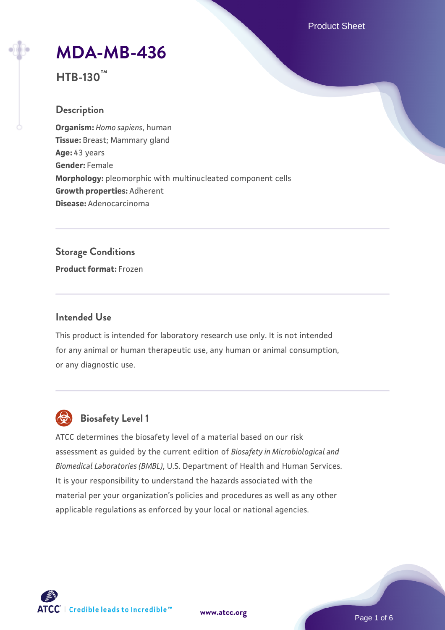Product Sheet

# **[MDA-MB-436](https://www.atcc.org/products/htb-130)**

**HTB-130™**

## **Description**

**Organism:** *Homo sapiens*, human **Tissue:** Breast; Mammary gland **Age:** 43 years **Gender:** Female **Morphology:** pleomorphic with multinucleated component cells **Growth properties:** Adherent **Disease:** Adenocarcinoma

# **Storage Conditions**

**Product format:** Frozen

## **Intended Use**

This product is intended for laboratory research use only. It is not intended for any animal or human therapeutic use, any human or animal consumption, or any diagnostic use.



# **Biosafety Level 1**

ATCC determines the biosafety level of a material based on our risk assessment as guided by the current edition of *Biosafety in Microbiological and Biomedical Laboratories (BMBL)*, U.S. Department of Health and Human Services. It is your responsibility to understand the hazards associated with the material per your organization's policies and procedures as well as any other applicable regulations as enforced by your local or national agencies.



**[www.atcc.org](http://www.atcc.org)**

Page 1 of 6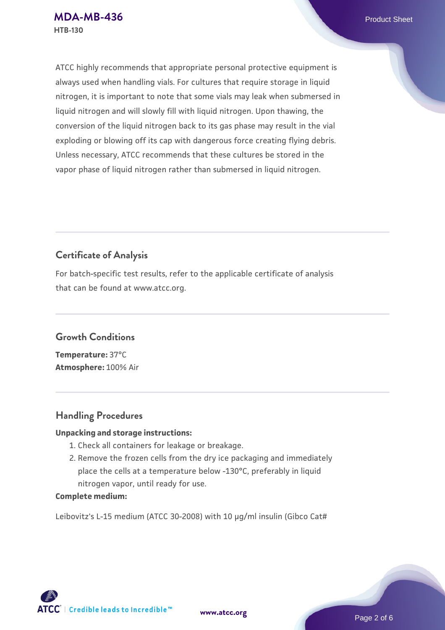ATCC highly recommends that appropriate personal protective equipment is always used when handling vials. For cultures that require storage in liquid nitrogen, it is important to note that some vials may leak when submersed in liquid nitrogen and will slowly fill with liquid nitrogen. Upon thawing, the conversion of the liquid nitrogen back to its gas phase may result in the vial exploding or blowing off its cap with dangerous force creating flying debris. Unless necessary, ATCC recommends that these cultures be stored in the vapor phase of liquid nitrogen rather than submersed in liquid nitrogen.

## **Certificate of Analysis**

For batch-specific test results, refer to the applicable certificate of analysis that can be found at www.atcc.org.

## **Growth Conditions**

**Temperature:** 37°C **Atmosphere:** 100% Air

## **Handling Procedures**

#### **Unpacking and storage instructions:**

- 1. Check all containers for leakage or breakage.
- 2. Remove the frozen cells from the dry ice packaging and immediately place the cells at a temperature below -130°C, preferably in liquid nitrogen vapor, until ready for use.

#### **Complete medium:**

Leibovitz's L-15 medium (ATCC 30-2008) with 10 µg/ml insulin (Gibco Cat#

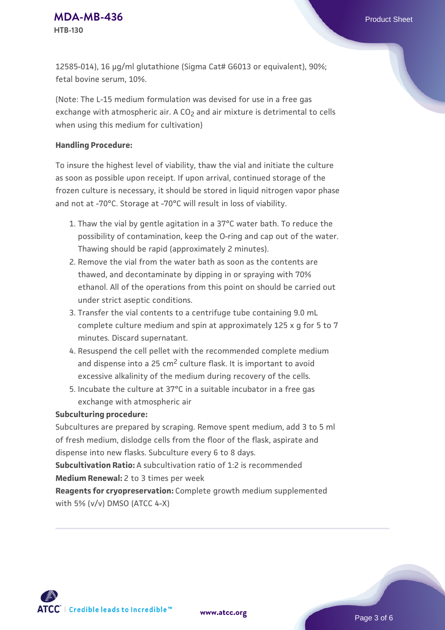12585-014), 16 µg/ml glutathione (Sigma Cat# G6013 or equivalent), 90%; fetal bovine serum, 10%.

(Note: The L-15 medium formulation was devised for use in a free gas exchange with atmospheric air. A CO<sub>2</sub> and air mixture is detrimental to cells when using this medium for cultivation)

#### **Handling Procedure:**

To insure the highest level of viability, thaw the vial and initiate the culture as soon as possible upon receipt. If upon arrival, continued storage of the frozen culture is necessary, it should be stored in liquid nitrogen vapor phase and not at -70°C. Storage at -70°C will result in loss of viability.

- 1. Thaw the vial by gentle agitation in a 37°C water bath. To reduce the possibility of contamination, keep the O-ring and cap out of the water. Thawing should be rapid (approximately 2 minutes).
- 2. Remove the vial from the water bath as soon as the contents are thawed, and decontaminate by dipping in or spraying with 70% ethanol. All of the operations from this point on should be carried out under strict aseptic conditions.
- 3. Transfer the vial contents to a centrifuge tube containing 9.0 mL complete culture medium and spin at approximately 125 x g for 5 to 7 minutes. Discard supernatant.
- 4. Resuspend the cell pellet with the recommended complete medium and dispense into a  $25 \text{ cm}^2$  culture flask. It is important to avoid excessive alkalinity of the medium during recovery of the cells.
- 5. Incubate the culture at 37°C in a suitable incubator in a free gas exchange with atmospheric air

#### **Subculturing procedure:**

Subcultures are prepared by scraping. Remove spent medium, add 3 to 5 ml of fresh medium, dislodge cells from the floor of the flask, aspirate and dispense into new flasks. Subculture every 6 to 8 days.

**Subcultivation Ratio:** A subcultivation ratio of 1:2 is recommended **Medium Renewal:** 2 to 3 times per week

**Reagents for cryopreservation:** Complete growth medium supplemented with 5% (v/v) DMSO (ATCC 4-X)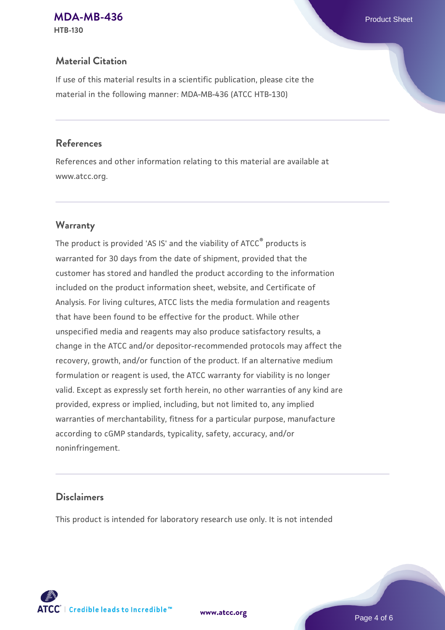## **[MDA-MB-436](https://www.atcc.org/products/htb-130)** Product Sheet

**HTB-130**

## **Material Citation**

If use of this material results in a scientific publication, please cite the material in the following manner: MDA-MB-436 (ATCC HTB-130)

## **References**

References and other information relating to this material are available at www.atcc.org.

## **Warranty**

The product is provided 'AS IS' and the viability of ATCC® products is warranted for 30 days from the date of shipment, provided that the customer has stored and handled the product according to the information included on the product information sheet, website, and Certificate of Analysis. For living cultures, ATCC lists the media formulation and reagents that have been found to be effective for the product. While other unspecified media and reagents may also produce satisfactory results, a change in the ATCC and/or depositor-recommended protocols may affect the recovery, growth, and/or function of the product. If an alternative medium formulation or reagent is used, the ATCC warranty for viability is no longer valid. Except as expressly set forth herein, no other warranties of any kind are provided, express or implied, including, but not limited to, any implied warranties of merchantability, fitness for a particular purpose, manufacture according to cGMP standards, typicality, safety, accuracy, and/or noninfringement.

## **Disclaimers**

This product is intended for laboratory research use only. It is not intended





Page 4 of 6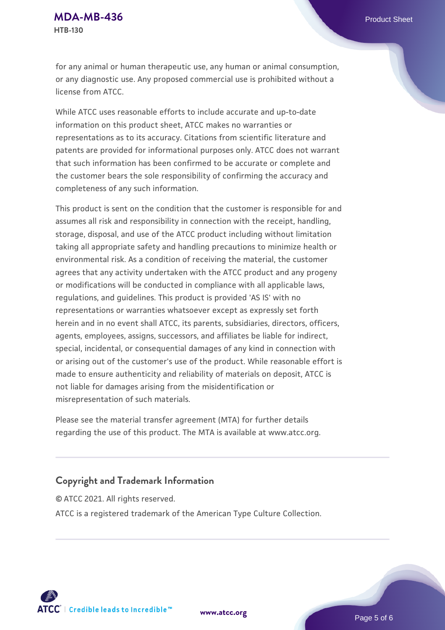for any animal or human therapeutic use, any human or animal consumption, or any diagnostic use. Any proposed commercial use is prohibited without a license from ATCC.

While ATCC uses reasonable efforts to include accurate and up-to-date information on this product sheet, ATCC makes no warranties or representations as to its accuracy. Citations from scientific literature and patents are provided for informational purposes only. ATCC does not warrant that such information has been confirmed to be accurate or complete and the customer bears the sole responsibility of confirming the accuracy and completeness of any such information.

This product is sent on the condition that the customer is responsible for and assumes all risk and responsibility in connection with the receipt, handling, storage, disposal, and use of the ATCC product including without limitation taking all appropriate safety and handling precautions to minimize health or environmental risk. As a condition of receiving the material, the customer agrees that any activity undertaken with the ATCC product and any progeny or modifications will be conducted in compliance with all applicable laws, regulations, and guidelines. This product is provided 'AS IS' with no representations or warranties whatsoever except as expressly set forth herein and in no event shall ATCC, its parents, subsidiaries, directors, officers, agents, employees, assigns, successors, and affiliates be liable for indirect, special, incidental, or consequential damages of any kind in connection with or arising out of the customer's use of the product. While reasonable effort is made to ensure authenticity and reliability of materials on deposit, ATCC is not liable for damages arising from the misidentification or misrepresentation of such materials.

Please see the material transfer agreement (MTA) for further details regarding the use of this product. The MTA is available at www.atcc.org.

## **Copyright and Trademark Information**

© ATCC 2021. All rights reserved. ATCC is a registered trademark of the American Type Culture Collection.